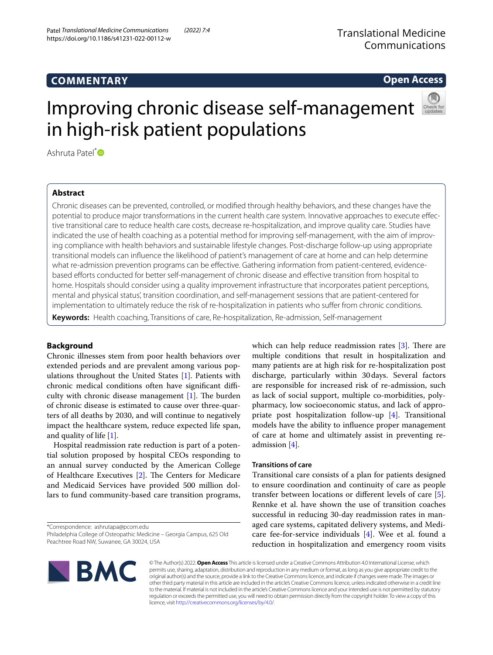# **COMMENTARY**

# **Open Access**

# Improving chronic disease self-management in high-risk patient populations

Ashruta Patel<sup>[\\*](http://orcid.org/0000-0002-8705-9608)</sup><sup>D</sup>

# **Abstract**

Chronic diseases can be prevented, controlled, or modifed through healthy behaviors, and these changes have the potential to produce major transformations in the current health care system. Innovative approaches to execute efective transitional care to reduce health care costs, decrease re-hospitalization, and improve quality care. Studies have indicated the use of health coaching as a potential method for improving self-management, with the aim of improving compliance with health behaviors and sustainable lifestyle changes. Post-discharge follow-up using appropriate transitional models can infuence the likelihood of patient's management of care at home and can help determine what re-admission prevention programs can be efective. Gathering information from patient-centered, evidencebased eforts conducted for better self-management of chronic disease and efective transition from hospital to home. Hospitals should consider using a quality improvement infrastructure that incorporates patient perceptions, mental and physical status', transition coordination, and self-management sessions that are patient-centered for implementation to ultimately reduce the risk of re-hospitalization in patients who sufer from chronic conditions.

**Keywords:** Health coaching, Transitions of care, Re-hospitalization, Re-admission, Self-management

# **Background**

Chronic illnesses stem from poor health behaviors over extended periods and are prevalent among various populations throughout the United States [\[1](#page-2-0)]. Patients with chronic medical conditions often have significant difficulty with chronic disease management  $[1]$  $[1]$ . The burden of chronic disease is estimated to cause over three-quarters of all deaths by 2030, and will continue to negatively impact the healthcare system, reduce expected life span, and quality of life [[1\]](#page-2-0).

Hospital readmission rate reduction is part of a potential solution proposed by hospital CEOs responding to an annual survey conducted by the American College of Healthcare Executives  $[2]$  $[2]$ . The Centers for Medicare and Medicaid Services have provided 500 million dollars to fund community-based care transition programs,

\*Correspondence: ashrutapa@pcom.edu

which can help reduce readmission rates  $[3]$  $[3]$  $[3]$ . There are multiple conditions that result in hospitalization and many patients are at high risk for re-hospitalization post discharge, particularly within 30days. Several factors are responsible for increased risk of re-admission, such as lack of social support, multiple co-morbidities, polypharmacy, low socioeconomic status, and lack of appropriate post hospitalization follow-up [[4\]](#page-2-3). Transitional models have the ability to infuence proper management of care at home and ultimately assist in preventing readmission [[4\]](#page-2-3).

## **Transitions of care**

Transitional care consists of a plan for patients designed to ensure coordination and continuity of care as people transfer between locations or diferent levels of care [\[5](#page-2-4)]. Rennke et al. have shown the use of transition coaches successful in reducing 30-day readmission rates in managed care systems, capitated delivery systems, and Medicare fee-for-service individuals [\[4](#page-2-3)]. Wee et al. found a reduction in hospitalization and emergency room visits



© The Author(s) 2022. **Open Access** This article is licensed under a Creative Commons Attribution 4.0 International License, which permits use, sharing, adaptation, distribution and reproduction in any medium or format, as long as you give appropriate credit to the original author(s) and the source, provide a link to the Creative Commons licence, and indicate if changes were made. The images or other third party material in this article are included in the article's Creative Commons licence, unless indicated otherwise in a credit line to the material. If material is not included in the article's Creative Commons licence and your intended use is not permitted by statutory regulation or exceeds the permitted use, you will need to obtain permission directly from the copyright holder. To view a copy of this licence, visit [http://creativecommons.org/licenses/by/4.0/.](http://creativecommons.org/licenses/by/4.0/)

Philadelphia College of Osteopathic Medicine – Georgia Campus, 625 Old Peachtree Road NW, Suwanee, GA 30024, USA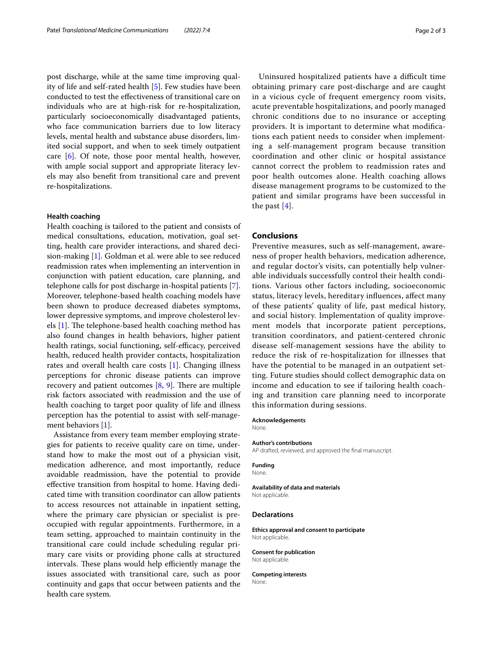post discharge, while at the same time improving quality of life and self-rated health [\[5](#page-2-4)]. Few studies have been conducted to test the efectiveness of transitional care on individuals who are at high-risk for re-hospitalization, particularly socioeconomically disadvantaged patients, who face communication barriers due to low literacy levels, mental health and substance abuse disorders, limited social support, and when to seek timely outpatient care  $[6]$  $[6]$ . Of note, those poor mental health, however, with ample social support and appropriate literacy levels may also beneft from transitional care and prevent re-hospitalizations.

#### **Health coaching**

Health coaching is tailored to the patient and consists of medical consultations, education, motivation, goal setting, health care provider interactions, and shared decision-making [[1](#page-2-0)]. Goldman et al. were able to see reduced readmission rates when implementing an intervention in conjunction with patient education, care planning, and telephone calls for post discharge in-hospital patients [\[7](#page-2-6)]. Moreover, telephone-based health coaching models have been shown to produce decreased diabetes symptoms, lower depressive symptoms, and improve cholesterol levels  $[1]$  $[1]$ . The telephone-based health coaching method has also found changes in health behaviors, higher patient health ratings, social functioning, self-efficacy, perceived health, reduced health provider contacts, hospitalization rates and overall health care costs [[1\]](#page-2-0). Changing illness perceptions for chronic disease patients can improve recovery and patient outcomes  $[8, 9]$  $[8, 9]$  $[8, 9]$  $[8, 9]$ . There are multiple risk factors associated with readmission and the use of health coaching to target poor quality of life and illness perception has the potential to assist with self-management behaviors [\[1](#page-2-0)].

Assistance from every team member employing strategies for patients to receive quality care on time, understand how to make the most out of a physician visit, medication adherence, and most importantly, reduce avoidable readmission, have the potential to provide efective transition from hospital to home. Having dedicated time with transition coordinator can allow patients to access resources not attainable in inpatient setting, where the primary care physician or specialist is preoccupied with regular appointments. Furthermore, in a team setting, approached to maintain continuity in the transitional care could include scheduling regular primary care visits or providing phone calls at structured intervals. These plans would help efficiently manage the issues associated with transitional care, such as poor continuity and gaps that occur between patients and the health care system.

Uninsured hospitalized patients have a difficult time obtaining primary care post-discharge and are caught in a vicious cycle of frequent emergency room visits, acute preventable hospitalizations, and poorly managed chronic conditions due to no insurance or accepting providers. It is important to determine what modifcations each patient needs to consider when implementing a self-management program because transition coordination and other clinic or hospital assistance cannot correct the problem to readmission rates and poor health outcomes alone. Health coaching allows disease management programs to be customized to the patient and similar programs have been successful in the past [[4\]](#page-2-3).

### **Conclusions**

Preventive measures, such as self-management, awareness of proper health behaviors, medication adherence, and regular doctor's visits, can potentially help vulnerable individuals successfully control their health conditions. Various other factors including, socioeconomic status, literacy levels, hereditary infuences, afect many of these patients' quality of life, past medical history, and social history. Implementation of quality improvement models that incorporate patient perceptions, transition coordinators, and patient-centered chronic disease self-management sessions have the ability to reduce the risk of re-hospitalization for illnesses that have the potential to be managed in an outpatient setting. Future studies should collect demographic data on income and education to see if tailoring health coaching and transition care planning need to incorporate this information during sessions.

#### **Acknowledgements**

None.

#### **Author's contributions**

AP drafted, reviewed, and approved the fnal manuscript.

#### **Funding**

None.

#### **Availability of data and materials**

Not applicable.

#### **Declarations**

**Ethics approval and consent to participate** Not applicable.

#### **Consent for publication** Not applicable.

**Competing interests None**